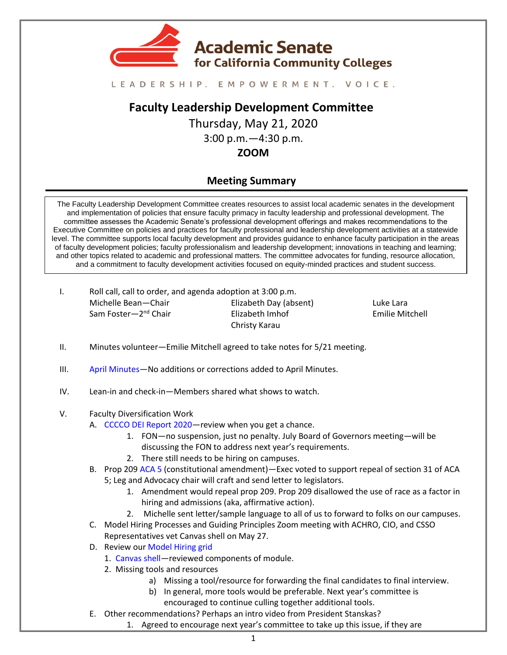

#### LEADERSHIP. EMPOWERMENT. VOICE.

# **Faculty Leadership Development Committee**

Thursday, May 21, 2020 3:00 p.m.—4:30 p.m. **ZOOM** 

# **Meeting Summary**

The Faculty Leadership Development Committee creates resources to assist local academic senates in the development and implementation of policies that ensure faculty primacy in faculty leadership and professional development. The committee assesses the Academic Senate's professional development offerings and makes recommendations to the Executive Committee on policies and practices for faculty professional and leadership development activities at a statewide level. The committee supports local faculty development and provides guidance to enhance faculty participation in the areas of faculty development policies; faculty professionalism and leadership development; innovations in teaching and learning; and other topics related to academic and professional matters. The committee advocates for funding, resource allocation, and a commitment to faculty development activities focused on equity-minded practices and student success.

I. Roll call, call to order, and agenda adoption at 3:00 p.m. Michelle Bean—Chair Sam Foster—2<sup>nd</sup> Chair Elizabeth Day (absent) Elizabeth Imhof Christy Karau

Luke Lara Emilie Mitchell

- II. Minutes volunteer—Emilie Mitchell agreed to take notes for 5/21 meeting.
- III. [April Minutes](https://drive.google.com/file/d/1pZ-W7T8rKzx9RmrWNBHeFT1MCGToGbW6/view?usp=sharing)—No additions or corrections added to April Minutes.
- IV. Lean-in and check-in—Members shared what shows to watch.

#### V. Faculty Diversification Work

- A. [CCCCO DEI Report 2020](https://drive.google.com/file/d/1eiUZUy2NmOB-iZzaLUN_qeabhVFpMMGe/view?usp=sharing)—review when you get a chance.
	- 1. FON—no suspension, just no penalty. July Board of Governors meeting—will be discussing the FON to address next year's requirements.
	- 2. There still needs to be hiring on campuses.
- B. Prop 209 [ACA 5](https://leginfo.legislature.ca.gov/faces/billNavClient.xhtml?bill_id=201920200ACA5) (constitutional amendment)—Exec voted to support repeal of section 31 of ACA 5; Leg and Advocacy chair will craft and send letter to legislators.
	- 1. Amendment would repeal prop 209. Prop 209 disallowed the use of race as a factor in hiring and admissions (aka, affirmative action).
	- 2. Michelle sent letter/sample language to all of us to forward to folks on our campuses.
- C. Model Hiring Processes and Guiding Principles Zoom meeting with ACHRO, CIO, and CSSO Representatives vet Canvas shell on May 27.
- D. Review ou[r Model Hiring grid](https://docs.google.com/spreadsheets/d/18WlrZFr8r-CgYwVMCoEsObPVzO3_V63Id6KYonNsEko/edit?usp=sharing)
	- 1. [Canvas](https://ccconlineed.instructure.com/courses/5733) shell—reviewed components of module.
	- 2. Missing tools and resources
		- a) Missing a tool/resource for forwarding the final candidates to final interview.
		- b) In general, more tools would be preferable. Next year's committee is encouraged to continue culling together additional tools.
- E. Other recommendations? Perhaps an intro video from President Stanskas?
	- 1. Agreed to encourage next year's committee to take up this issue, if they are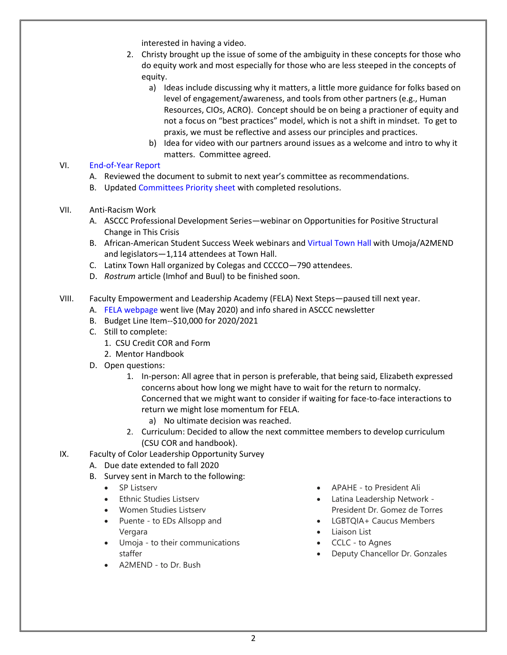interested in having a video.

- 2. Christy brought up the issue of some of the ambiguity in these concepts for those who do equity work and most especially for those who are less steeped in the concepts of equity.
	- a) Ideas include discussing why it matters, a little more guidance for folks based on level of engagement/awareness, and tools from other partners (e.g., Human Resources, CIOs, ACRO). Concept should be on being a practioner of equity and not a focus on "best practices" model, which is not a shift in mindset. To get to praxis, we must be reflective and assess our principles and practices.
	- b) Idea for video with our partners around issues as a welcome and intro to why it matters. Committee agreed.

## VI. [End-of-Year Report](https://drive.google.com/file/d/1iFMz20Aymu5yQeWUYQ4uZvAkoTBMETpx/view?usp=sharing)

- A. Reviewed the document to submit to next year's committee as recommendations.
- B. Updated [Committees Priority sheet](https://drive.google.com/file/d/1Mrbl5E1mzoW4_LkZ-ib9jqBJ4bW-3eZa/view?usp=sharing) with completed resolutions.
- VII. Anti-Racism Work
	- A. ASCCC Professional Development Series—webinar on Opportunities for Positive Structural Change in This Crisis
	- B. African-American Student Success Week webinars an[d Virtual Town Hall](https://youtu.be/Gmjkf56YKms) with Umoja/A2MEND and legislators—1,114 attendees at Town Hall.
	- C. Latinx Town Hall organized by Colegas and CCCCO—790 attendees.
	- D. *Rostrum* article (Imhof and Buul) to be finished soon.
- VIII. Faculty Empowerment and Leadership Academy (FELA) Next Steps—paused till next year.
	- A. [FELA webpage](https://asccc.org/faculty-empowerment-and-leadership-academy) went live (May 2020) and info shared in ASCCC newsletter
	- B. Budget Line Item--\$10,000 for 2020/2021
	- C. Still to complete:
		- 1. CSU Credit COR and Form
		- 2. Mentor Handbook
	- D. Open questions:
		- 1. In-person: All agree that in person is preferable, that being said, Elizabeth expressed concerns about how long we might have to wait for the return to normalcy. Concerned that we might want to consider if waiting for face-to-face interactions to return we might lose momentum for FELA.
			- a) No ultimate decision was reached.
		- 2. Curriculum: Decided to allow the next committee members to develop curriculum (CSU COR and handbook).
- IX. Faculty of Color Leadership Opportunity Survey
	- A. Due date extended to fall 2020
	- B. Survey sent in March to the following:
		- SP Listserv
		- Ethnic Studies Listserv
		- Women Studies Listserv
		- Puente to EDs Allsopp and Vergara
		- Umoja to their communications staffer
		- A2MEND to Dr. Bush
- APAHE to President Ali
- Latina Leadership Network President Dr. Gomez de Torres
- LGBTQIA+ Caucus Members
- Liaison List
- CCLC to Agnes
- Deputy Chancellor Dr. Gonzales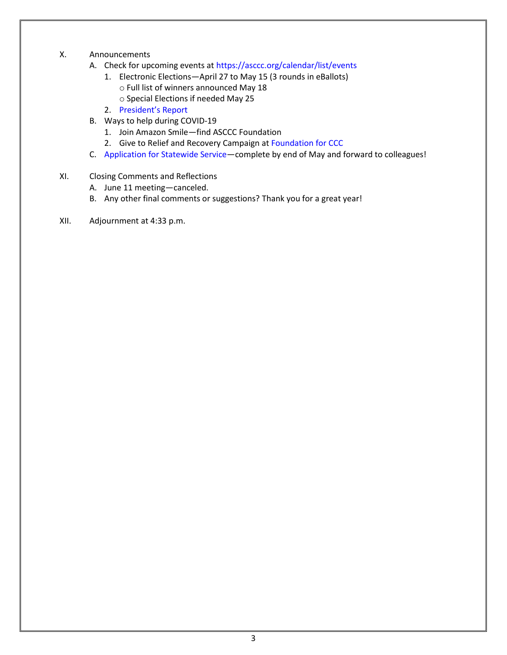- X. Announcements
	- A. Check for upcoming events at<https://asccc.org/calendar/list/events>
		- 1. Electronic Elections—April 27 to May 15 (3 rounds in eBallots) o Full list of winners announced May 18
			- o Special Elections if needed May 25
		- 2. [President's Report](https://asccc.org/president-update)
	- B. Ways to help during COVID-19
		- 1. Join Amazon Smile—find ASCCC Foundation
		- 2. Give to Relief and Recovery Campaign at [Foundation for CCC](https://foundationccc.org/)
	- C. [Application for Statewide Service](http://asccc.org/content/application-statewide-service)—complete by end of May and forward to colleagues!
- XI. Closing Comments and Reflections
	- A. June 11 meeting—canceled.
	- B. Any other final comments or suggestions? Thank you for a great year!
- XII. Adjournment at 4:33 p.m.